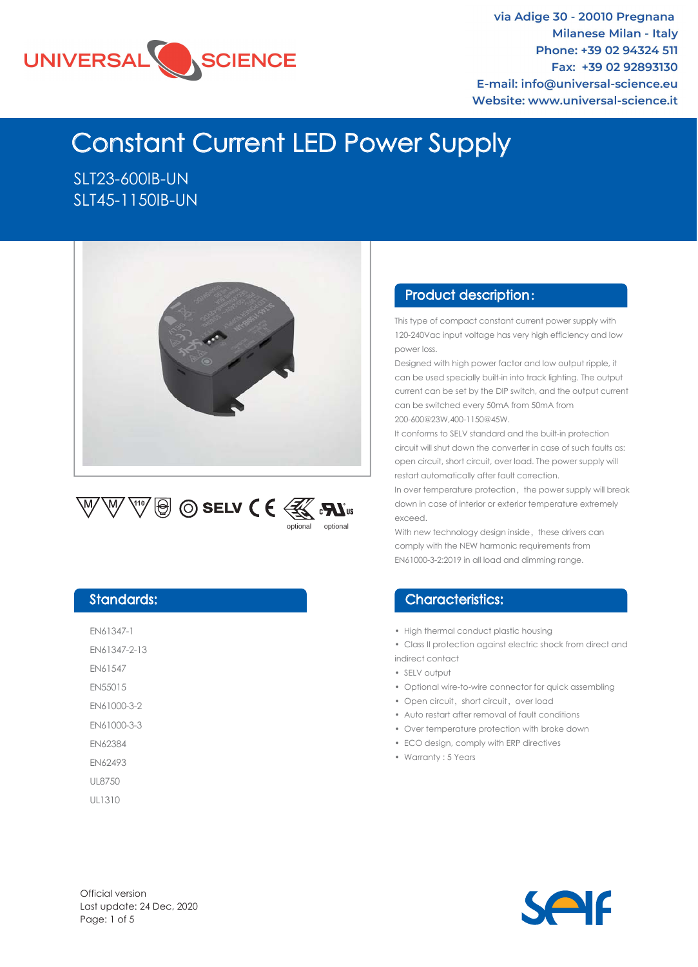

via Adige 30 - 20010 Pregnana **Milanese Milan - Italy** Phone: +39 02 94324 511 Fax: +39 02 92893130 E-mail: info@universal-science.eu Website: www.universal-science.it

# Constant Current LED Power Supply

SLT23-600IB-UN SLT45-1150IB-UN





#### Designed with high power factor and low output ripple, it can be used specially built-in into track lighting. The output

power loss.

current can be set by the DIP switch, and the output current can be switched every 50mA from 50mA from 200-600@23W,400-1150@45W.

This type of compact constant current power supply with 120-240Vac input voltage has very high efficiency and low

Product description :

It conforms to SELV standard and the built-in protection circuit will shut down the converter in case of such faults as: open circuit, short circuit, over load. The power supply will restart automatically after fault correction.

In over temperature protection, the power supply will break down in case of interior or exterior temperature extremely exceed.

With new technology design inside, these drivers can comply with the NEW harmonic requirements from EN61000-3-2:2019 in all load and dimming range.

#### Characteristics:

- High thermal conduct plastic housing
- Class II protection against electric shock from direct and indirect contact
- SELV output
- Optional wire-to-wire connector for quick assembling
- Open circuit, short circuit, over load
- Auto restart after removal of fault conditions
- Over temperature protection with broke down
- ECO design, comply with ERP directives
- Warranty : 5 Years

#### Standards:

EN61347-1

EN61347-2-13

EN61547

EN55015

EN61000-3-2

EN61000-3-3

EN62384

EN62493

UL8750

UL1310

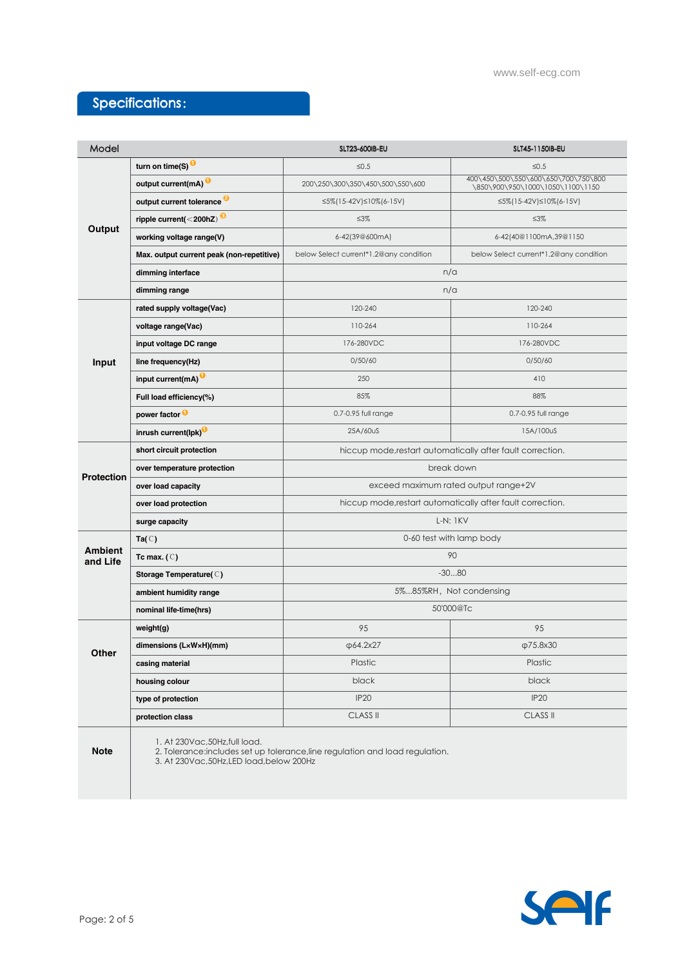### Specifications:

| Model                      |                                                                             | SLT23-600IB-EU                                                                | SLT45-1150IB-EU                                                         |  |  |  |  |  |
|----------------------------|-----------------------------------------------------------------------------|-------------------------------------------------------------------------------|-------------------------------------------------------------------------|--|--|--|--|--|
| Output                     | turn on time(S)                                                             | $\leq 0.5$                                                                    | $≤0.5$                                                                  |  |  |  |  |  |
|                            | output current(mA) <sup>0</sup>                                             | 200\250\300\350\450\500\550\600                                               | 400\450\500\550\600\650\700\750\800<br>\850\900\950\1000\1050\1100\1150 |  |  |  |  |  |
|                            | output current tolerance <sup>2</sup>                                       | ≤5%(15-42V)≤10%(6-15V)                                                        | ≤5%(15-42V)≤10%(6-15V)                                                  |  |  |  |  |  |
|                            | ripple current(<200hZ) <sup>8</sup>                                         | $\leq 3\%$                                                                    | $\leq 3\%$                                                              |  |  |  |  |  |
|                            | working voltage range(V)                                                    | 6-42(39@600mA)                                                                | 6-42(40@1100mA,39@1150                                                  |  |  |  |  |  |
|                            | Max. output current peak (non-repetitive)                                   | below Select current*1.2@any condition                                        | below Select current*1.2@any condition                                  |  |  |  |  |  |
|                            | dimming interface                                                           | n/a                                                                           |                                                                         |  |  |  |  |  |
|                            | dimming range                                                               | n/a                                                                           |                                                                         |  |  |  |  |  |
|                            | rated supply voltage(Vac)                                                   | 120-240                                                                       | 120-240                                                                 |  |  |  |  |  |
|                            | voltage range(Vac)                                                          | 110-264                                                                       | 110-264                                                                 |  |  |  |  |  |
|                            | input voltage DC range                                                      | 176-280VDC                                                                    | 176-280VDC                                                              |  |  |  |  |  |
| Input                      | line frequency(Hz)                                                          | 0/50/60                                                                       | 0/50/60                                                                 |  |  |  |  |  |
|                            | input current(mA) <sup>0</sup>                                              | 250                                                                           | 410                                                                     |  |  |  |  |  |
|                            | Full load efficiency(%)                                                     | 85%                                                                           | 88%                                                                     |  |  |  |  |  |
|                            | power factor <sup>0</sup>                                                   | 0.7-0.95 full range                                                           | 0.7-0.95 full range                                                     |  |  |  |  |  |
|                            | inrush current(lpk)                                                         | 25A/60uS                                                                      | 15A/100uS                                                               |  |  |  |  |  |
|                            | short circuit protection                                                    | hiccup mode, restart automatically after fault correction.                    |                                                                         |  |  |  |  |  |
| <b>Protection</b>          | over temperature protection                                                 | break down                                                                    |                                                                         |  |  |  |  |  |
|                            | over load capacity                                                          | exceed maximum rated output range+2V                                          |                                                                         |  |  |  |  |  |
|                            | over load protection                                                        | hiccup mode, restart automatically after fault correction.                    |                                                                         |  |  |  |  |  |
|                            | surge capacity                                                              | $L-N: 1KV$                                                                    |                                                                         |  |  |  |  |  |
|                            | $Ta(\mathbb{C})$                                                            | 0-60 test with lamp body                                                      |                                                                         |  |  |  |  |  |
| <b>Ambient</b><br>and Life | Tc max. $(C)$                                                               | 90                                                                            |                                                                         |  |  |  |  |  |
|                            | Storage Temperature(C)                                                      | $-3080$                                                                       |                                                                         |  |  |  |  |  |
|                            | ambient humidity range                                                      | 5%85%RH, Not condensing                                                       |                                                                         |  |  |  |  |  |
|                            | nominal life-time(hrs)                                                      | 50'000@Tc                                                                     |                                                                         |  |  |  |  |  |
|                            | weight(g)                                                                   | 95                                                                            | 95                                                                      |  |  |  |  |  |
| Other                      | dimensions (LxWxH)(mm)                                                      | $\phi$ 64.2x27                                                                | $\phi$ 75.8x30                                                          |  |  |  |  |  |
|                            | casing material                                                             | Plastic                                                                       | Plastic                                                                 |  |  |  |  |  |
|                            | housing colour                                                              | black                                                                         | black                                                                   |  |  |  |  |  |
|                            | type of protection                                                          | <b>IP20</b>                                                                   | IP <sub>20</sub>                                                        |  |  |  |  |  |
|                            | protection class                                                            | <b>CLASS II</b>                                                               | <b>CLASS II</b>                                                         |  |  |  |  |  |
| <b>Note</b>                | 1. At 230Vac, 50Hz, full load.<br>3. At 230Vac, 50Hz, LED load, below 200Hz | 2. Tolerance: includes set up tolerance, line regulation and load regulation. |                                                                         |  |  |  |  |  |

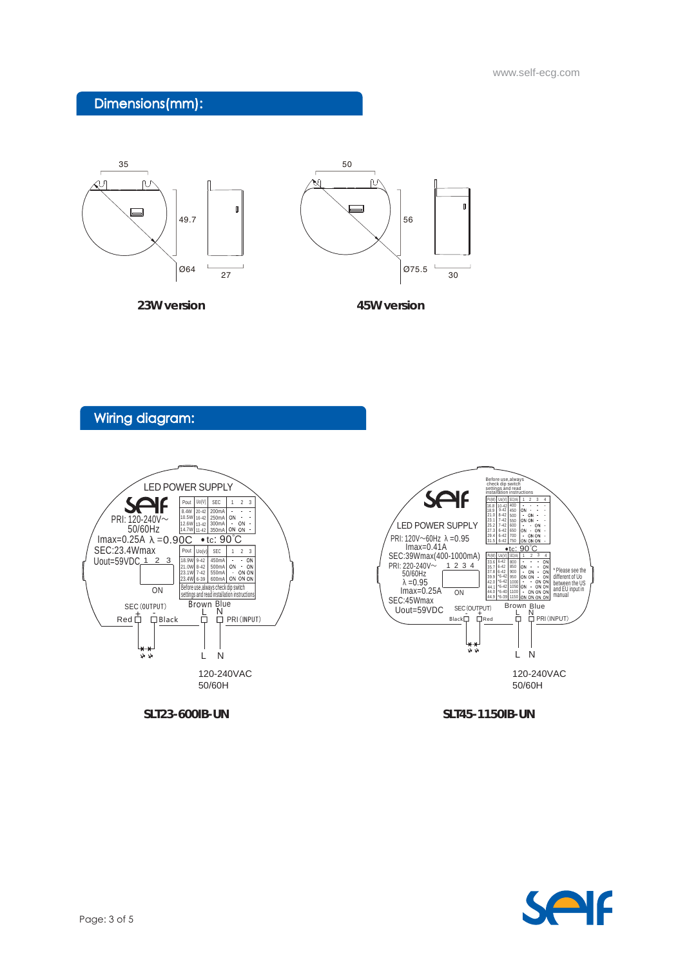www.self-ecg.com

### Dimensions(mm):



Wiring diagram:



**SLT23-600IB-UN**

**SLT45-1150IB-UN**

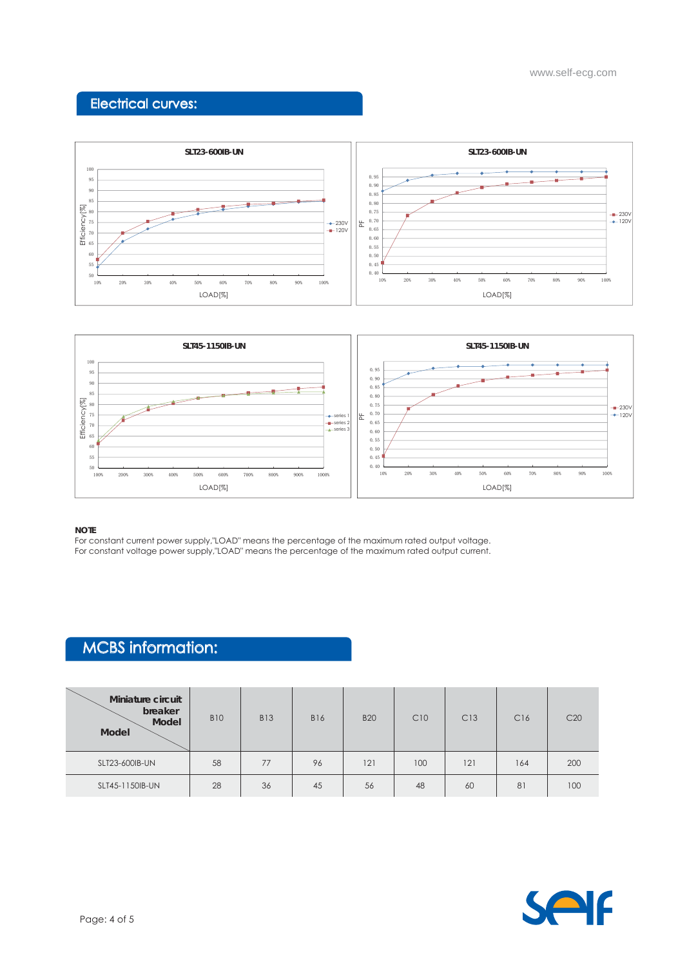# Electrical curves:





#### **NOTE**

For constant current power supply,"LOAD" means the percentage of the maximum rated output voltage. For constant voltage power supply,"LOAD" means the percentage of the maximum rated output current.

## MCBS information:

| Miniature circuit<br>breaker<br>Model<br><b>Model</b> | <b>B10</b> | <b>B13</b> | <b>B16</b> | <b>B20</b> | C10 | C13 | C16 | C20 |
|-------------------------------------------------------|------------|------------|------------|------------|-----|-----|-----|-----|
| SLT23-600IB-UN                                        | 58         | 77         | 96         | 121        | 100 | 121 | 164 | 200 |
| SLT45-1150IB-UN                                       | 28         | 36         | 45         | 56         | 48  | 60  | 81  | 100 |